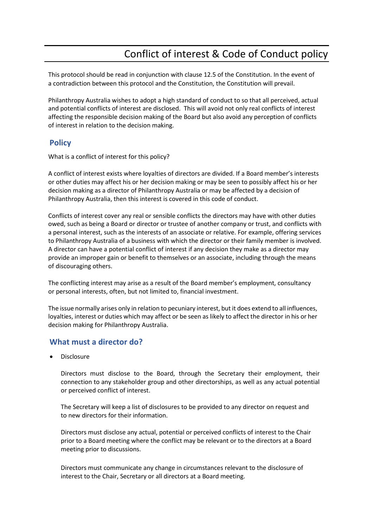## Conflict of interest & Code of Conduct policy

This protocol should be read in conjunction with clause 12.5 of the Constitution. In the event of a contradiction between this protocol and the Constitution, the Constitution will prevail.

Philanthropy Australia wishes to adopt a high standard of conduct to so that all perceived, actual and potential conflicts of interest are disclosed. This will avoid not only real conflicts of interest affecting the responsible decision making of the Board but also avoid any perception of conflicts of interest in relation to the decision making.

## **Policy**

What is a conflict of interest for this policy?

A conflict of interest exists where loyalties of directors are divided. If a Board member's interests or other duties may affect his or her decision making or may be seen to possibly affect his or her decision making as a director of Philanthropy Australia or may be affected by a decision of Philanthropy Australia, then this interest is covered in this code of conduct.

Conflicts of interest cover any real or sensible conflicts the directors may have with other duties owed, such as being a Board or director or trustee of another company or trust, and conflicts with a personal interest, such as the interests of an associate or relative. For example, offering services to Philanthropy Australia of a business with which the director or their family member is involved. A director can have a potential conflict of interest if any decision they make as a director may provide an improper gain or benefit to themselves or an associate, including through the means of discouraging others.

The conflicting interest may arise as a result of the Board member's employment, consultancy or personal interests, often, but not limited to, financial investment.

The issue normally arises only in relation to pecuniary interest, but it does extend to all influences, loyalties, interest or duties which may affect or be seen as likely to affect the director in his or her decision making for Philanthropy Australia.

## **What must a director do?**

**Disclosure** 

Directors must disclose to the Board, through the Secretary their employment, their connection to any stakeholder group and other directorships, as well as any actual potential or perceived conflict of interest.

The Secretary will keep a list of disclosures to be provided to any director on request and to new directors for their information.

Directors must disclose any actual, potential or perceived conflicts of interest to the Chair prior to a Board meeting where the conflict may be relevant or to the directors at a Board meeting prior to discussions.

Directors must communicate any change in circumstances relevant to the disclosure of interest to the Chair, Secretary or all directors at a Board meeting.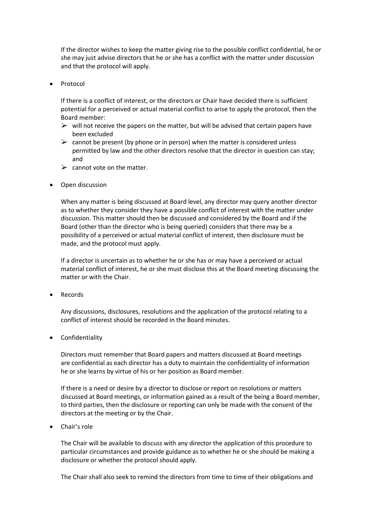If the director wishes to keep the matter giving rise to the possible conflict confidential, he or she may just advise directors that he or she has a conflict with the matter under discussion and that the protocol will apply.

• Protocol

If there is a conflict of interest, or the directors or Chair have decided there is sufficient potential for a perceived or actual material conflict to arise to apply the protocol, then the Board member:

- $\triangleright$  will not receive the papers on the matter, but will be advised that certain papers have been excluded
- $\triangleright$  cannot be present (by phone or in person) when the matter is considered unless permitted by law and the other directors resolve that the director in question can stay; and
- $\triangleright$  cannot vote on the matter.
- Open discussion

When any matter is being discussed at Board level, any director may query another director as to whether they consider they have a possible conflict of interest with the matter under discussion. This matter should then be discussed and considered by the Board and if the Board (other than the director who is being queried) considers that there may be a possibility of a perceived or actual material conflict of interest, then disclosure must be made, and the protocol must apply.

If a director is uncertain as to whether he or she has or may have a perceived or actual material conflict of interest, he or she must disclose this at the Board meeting discussing the matter or with the Chair.

• Records

Any discussions, disclosures, resolutions and the application of the protocol relating to a conflict of interest should be recorded in the Board minutes.

• Confidentiality

Directors must remember that Board papers and matters discussed at Board meetings are confidential as each director has a duty to maintain the confidentiality of information he or she learns by virtue of his or her position as Board member.

If there is a need or desire by a director to disclose or report on resolutions or matters discussed at Board meetings, or information gained as a result of the being a Board member, to third parties, then the disclosure or reporting can only be made with the consent of the directors at the meeting or by the Chair.

• Chair's role

The Chair will be available to discuss with any director the application of this procedure to particular circumstances and provide guidance as to whether he or she should be making a disclosure or whether the protocol should apply.

The Chair shall also seek to remind the directors from time to time of their obligations and